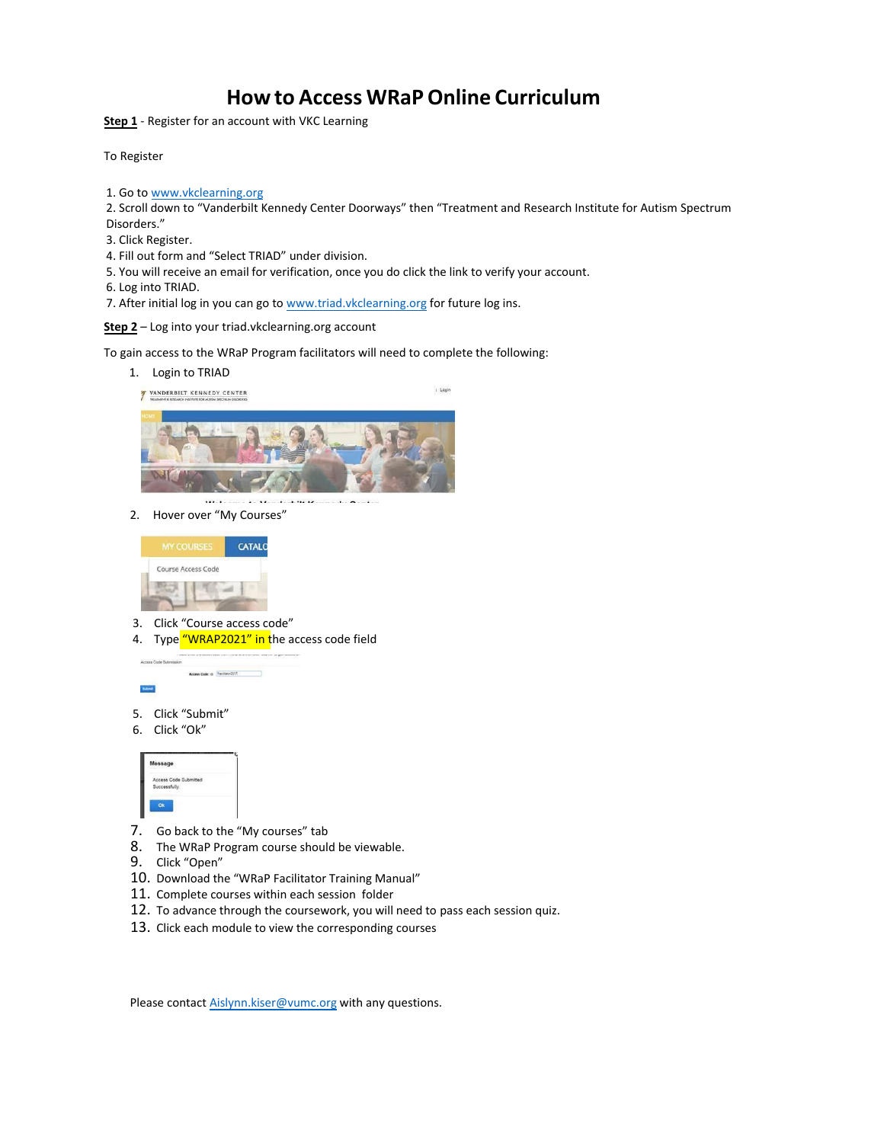## **How to Access WRaP Online Curriculum**

**Step 1** - Register for an account with VKC Learning

To Register

1. Go to www.vkclearning.org

2. Scroll [down to "Vanderbilt Kenned](http://www.vkclearning.org/)y Center Doorways" then "Treatment and Research Institute for Autism Spectrum Disorders."

- 3. Click Register.
- 4. Fill out form and "Select TRIAD" under division.
- 5. You will receive an email for verification, once you do click the link to verify your account.
- 6. Log into TRIAD.
- 7. After initial log in you can go to [www.triad.vkclearning.org](http://www.triad.vkclearning.org/) for future log ins.

**Step 2** – Log into your triad.vkclearning.org account

To gain access to the WRaP Program facilitators will need to complete the following:

1. Login to TRIAD



i Login



2. Hover over "My Courses"



- 3. Click "Course access code"
- 4. Type "WRAP2021" in the access code field



- 5. Click "Submit"
- 6. Click "Ok"



- 7. Go back to the "My courses" tab
- 8. The WRaP Program course should be viewable.
- 9. Click "Open"
- 10. Download the "WRaP Facilitator Training Manual"
- 11. Complete courses within each session folder
- 12. To advance through the coursework, you will need to pass each session quiz.
- 13. Click each module to view the corresponding courses

Please contact Aislynn.kiser@vumc.org with any questions.